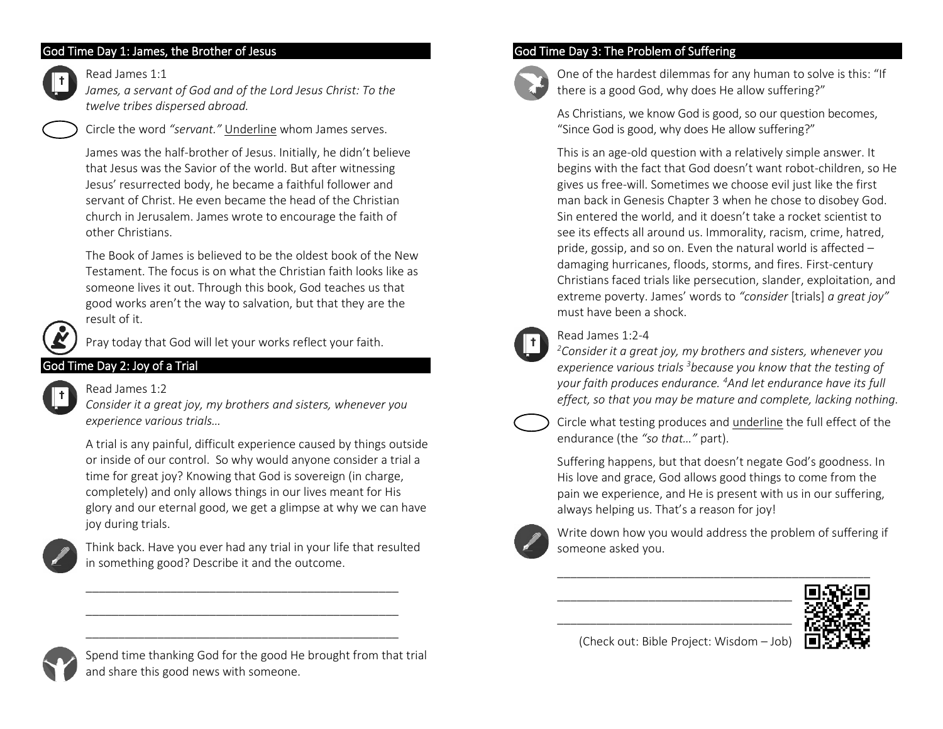## God Time Day 1: James, the Brother of Jesus



## Read James 1:1

*James, a servant of God and of the Lord Jesus Christ: To the twelve tribes dispersed abroad.*

Circle the word *"servant."* Underline whom James serves.

James was the half-brother of Jesus. Initially, he didn't believe that Jesus was the Savior of the world. But after witnessing Jesus' resurrected body, he became a faithful follower and servant of Christ. He even became the head of the Christian church in Jerusalem. James wrote to encourage the faith of other Christians.

The Book of James is believed to be the oldest book of the New Testament. The focus is on what the Christian faith looks like as someone lives it out. Through this book, God teaches us that good works aren't the way to salvation, but that they are the result of it.



Pray today that God will let your works reflect your faith.

# God Time Day 2: Joy of a Trial



## Read James  $1:2$

*Consider it a great joy, my brothers and sisters, whenever you experience various trials…*

A trial is any painful, difficult experience caused by things outside or inside of our control. So why would anyone consider a trial a time for great joy? Knowing that God is sovereign (in charge, completely) and only allows things in our lives meant for His glory and our eternal good, we get a glimpse at why we can have joy during trials.



Think back. Have you ever had any trial in your life that resulted in something good? Describe it and the outcome.

\_\_\_\_\_\_\_\_\_\_\_\_\_\_\_\_\_\_\_\_\_\_\_\_\_\_\_\_\_\_\_\_\_\_\_\_\_\_\_\_\_\_\_\_\_\_\_\_ \_\_\_\_\_\_\_\_\_\_\_\_\_\_\_\_\_\_\_\_\_\_\_\_\_\_\_\_\_\_\_\_\_\_\_\_\_\_\_\_\_\_\_\_\_\_\_\_ \_\_\_\_\_\_\_\_\_\_\_\_\_\_\_\_\_\_\_\_\_\_\_\_\_\_\_\_\_\_\_\_\_\_\_\_\_\_\_\_\_\_\_\_\_\_\_\_

## God Time Day 3: The Problem of Suffering



One of the hardest dilemmas for any human to solve is this: "If there is a good God, why does He allow suffering?"

As Christians, we know God is good, so our question becomes, "Since God is good, why does He allow suffering?"

This is an age-old question with a relatively simple answer. It begins with the fact that God doesn't want robot-children, so He gives us free-will. Sometimes we choose evil just like the first man back in Genesis Chapter 3 when he chose to disobey God. Sin entered the world, and it doesn't take a rocket scientist to see its effects all around us. Immorality, racism, crime, hatred, pride, gossip, and so on. Even the natural world is affected – damaging hurricanes, floods, storms, and fires. First-century Christians faced trials like persecution, slander, exploitation, and extreme poverty. James' words to *"consider* [trials] *a great joy"* must have been a shock.



## Read James 1:2-4

*<sup>2</sup>Consider it a great joy, my brothers and sisters, whenever you experience various trials <sup>3</sup>because you know that the testing of your faith produces endurance. <sup>4</sup>And let endurance have its full effect, so that you may be mature and complete, lacking nothing.*



Circle what testing produces and underline the full effect of the endurance (the *"so that…"* part).

Suffering happens, but that doesn't negate God's goodness. In His love and grace, God allows good things to come from the pain we experience, and He is present with us in our suffering, always helping us. That's a reason for joy!



Write down how you would address the problem of suffering if someone asked you.



(Check out: Bible Project: Wisdom – Job)

\_\_\_\_\_\_\_\_\_\_\_\_\_\_\_\_\_\_\_\_\_\_\_\_\_\_\_\_\_\_\_\_\_\_\_\_ \_\_\_\_\_\_\_\_\_\_\_\_\_\_\_\_\_\_\_\_\_\_\_\_\_\_\_\_\_\_\_\_\_\_\_\_



Spend time thanking God for the good He brought from that trial and share this good news with someone.